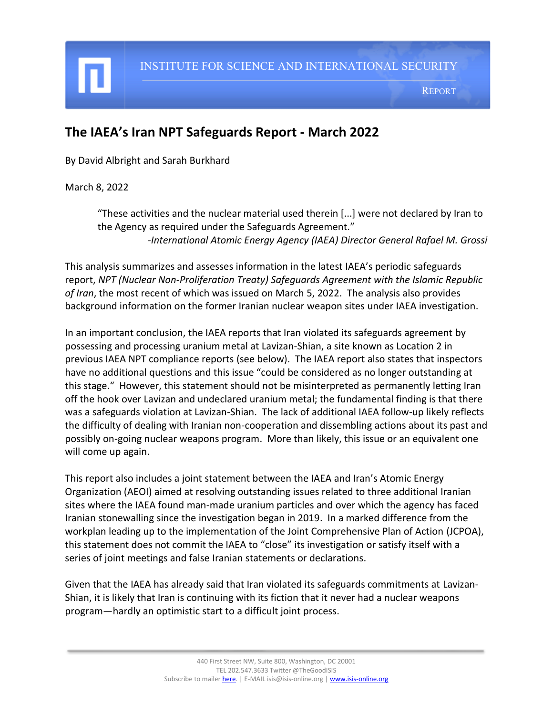# **The IAEA's Iran NPT Safeguards Report - March 2022**

By David Albright and Sarah Burkhard

March 8, 2022

I

"These activities and the nuclear material used therein [...] were not declared by Iran to the Agency as required under the Safeguards Agreement." *-International Atomic Energy Agency (IAEA) Director General Rafael M. Grossi*

This analysis summarizes and assesses information in the latest IAEA's periodic safeguards report, *NPT (Nuclear Non-Proliferation Treaty) Safeguards Agreement with the Islamic Republic of Iran*, the most recent of which was issued on March 5, 2022. The analysis also provides background information on the former Iranian nuclear weapon sites under IAEA investigation.

In an important conclusion, the IAEA reports that Iran violated its safeguards agreement by possessing and processing uranium metal at Lavizan-Shian, a site known as Location 2 in previous IAEA NPT compliance reports (see below). The IAEA report also states that inspectors have no additional questions and this issue "could be considered as no longer outstanding at this stage." However, this statement should not be misinterpreted as permanently letting Iran off the hook over Lavizan and undeclared uranium metal; the fundamental finding is that there was a safeguards violation at Lavizan-Shian. The lack of additional IAEA follow-up likely reflects the difficulty of dealing with Iranian non-cooperation and dissembling actions about its past and possibly on-going nuclear weapons program. More than likely, this issue or an equivalent one will come up again.

This report also includes a joint statement between the IAEA and Iran's Atomic Energy Organization (AEOI) aimed at resolving outstanding issues related to three additional Iranian sites where the IAEA found man-made uranium particles and over which the agency has faced Iranian stonewalling since the investigation began in 2019. In a marked difference from the workplan leading up to the implementation of the Joint Comprehensive Plan of Action (JCPOA), this statement does not commit the IAEA to "close" its investigation or satisfy itself with a series of joint meetings and false Iranian statements or declarations.

Given that the IAEA has already said that Iran violated its safeguards commitments at Lavizan-Shian, it is likely that Iran is continuing with its fiction that it never had a nuclear weapons program—hardly an optimistic start to a difficult joint process.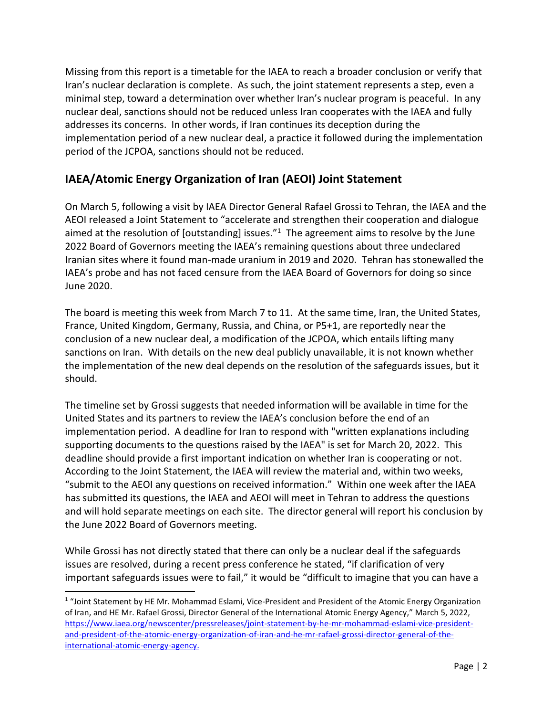Missing from this report is a timetable for the IAEA to reach a broader conclusion or verify that Iran's nuclear declaration is complete. As such, the joint statement represents a step, even a minimal step, toward a determination over whether Iran's nuclear program is peaceful. In any nuclear deal, sanctions should not be reduced unless Iran cooperates with the IAEA and fully addresses its concerns. In other words, if Iran continues its deception during the implementation period of a new nuclear deal, a practice it followed during the implementation period of the JCPOA, sanctions should not be reduced.

### **IAEA/Atomic Energy Organization of Iran (AEOI) Joint Statement**

On March 5, following a visit by IAEA Director General Rafael Grossi to Tehran, the IAEA and the AEOI released a Joint Statement to "accelerate and strengthen their cooperation and dialogue aimed at the resolution of [outstanding] issues. $11$  The agreement aims to resolve by the June 2022 Board of Governors meeting the IAEA's remaining questions about three undeclared Iranian sites where it found man-made uranium in 2019 and 2020. Tehran has stonewalled the IAEA's probe and has not faced censure from the IAEA Board of Governors for doing so since June 2020.

The board is meeting this week from March 7 to 11. At the same time, Iran, the United States, France, United Kingdom, Germany, Russia, and China, or P5+1, are reportedly near the conclusion of a new nuclear deal, a modification of the JCPOA, which entails lifting many sanctions on Iran. With details on the new deal publicly unavailable, it is not known whether the implementation of the new deal depends on the resolution of the safeguards issues, but it should.

The timeline set by Grossi suggests that needed information will be available in time for the United States and its partners to review the IAEA's conclusion before the end of an implementation period. A deadline for Iran to respond with "written explanations including supporting documents to the questions raised by the IAEA" is set for March 20, 2022. This deadline should provide a first important indication on whether Iran is cooperating or not. According to the Joint Statement, the IAEA will review the material and, within two weeks, "submit to the AEOI any questions on received information." Within one week after the IAEA has submitted its questions, the IAEA and AEOI will meet in Tehran to address the questions and will hold separate meetings on each site. The director general will report his conclusion by the June 2022 Board of Governors meeting.

While Grossi has not directly stated that there can only be a nuclear deal if the safeguards issues are resolved, during a recent press conference he stated, "if clarification of very important safeguards issues were to fail," it would be "difficult to imagine that you can have a

<sup>&</sup>lt;sup>1</sup> "Joint Statement by HE Mr. Mohammad Eslami, Vice-President and President of the Atomic Energy Organization of Iran, and HE Mr. Rafael Grossi, Director General of the International Atomic Energy Agency," March 5, 2022, [https://www.iaea.org/newscenter/pressreleases/joint-statement-by-he-mr-mohammad-eslami-vice-president](https://www.iaea.org/newscenter/pressreleases/joint-statement-by-he-mr-mohammad-eslami-vice-president-and-president-of-the-atomic-energy-organization-of-iran-and-he-mr-rafael-grossi-director-general-of-the-international-atomic-energy-agency)[and-president-of-the-atomic-energy-organization-of-iran-and-he-mr-rafael-grossi-director-general-of-the](https://www.iaea.org/newscenter/pressreleases/joint-statement-by-he-mr-mohammad-eslami-vice-president-and-president-of-the-atomic-energy-organization-of-iran-and-he-mr-rafael-grossi-director-general-of-the-international-atomic-energy-agency)[international-atomic-energy-agency.](https://www.iaea.org/newscenter/pressreleases/joint-statement-by-he-mr-mohammad-eslami-vice-president-and-president-of-the-atomic-energy-organization-of-iran-and-he-mr-rafael-grossi-director-general-of-the-international-atomic-energy-agency)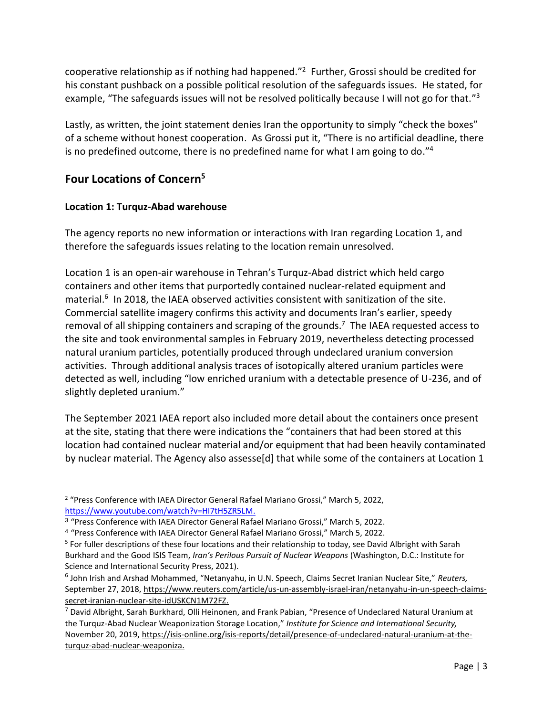cooperative relationship as if nothing had happened." 2 Further, Grossi should be credited for his constant pushback on a possible political resolution of the safeguards issues. He stated, for example, "The safeguards issues will not be resolved politically because I will not go for that."<sup>3</sup>

Lastly, as written, the joint statement denies Iran the opportunity to simply "check the boxes" of a scheme without honest cooperation. As Grossi put it, "There is no artificial deadline, there is no predefined outcome, there is no predefined name for what I am going to do."<sup>4</sup>

## **Four Locations of Concern<sup>5</sup>**

### **Location 1: Turquz-Abad warehouse**

The agency reports no new information or interactions with Iran regarding Location 1, and therefore the safeguards issues relating to the location remain unresolved.

Location 1 is an open-air warehouse in Tehran's Turquz-Abad district which held cargo containers and other items that purportedly contained nuclear-related equipment and material.<sup>6</sup> In 2018, the IAEA observed activities consistent with sanitization of the site. Commercial satellite imagery confirms this activity and documents Iran's earlier, speedy removal of all shipping containers and scraping of the grounds.<sup>7</sup> The IAEA requested access to the site and took environmental samples in February 2019, nevertheless detecting processed natural uranium particles, potentially produced through undeclared uranium conversion activities. Through additional analysis traces of isotopically altered uranium particles were detected as well, including "low enriched uranium with a detectable presence of U-236, and of slightly depleted uranium."

The September 2021 IAEA report also included more detail about the containers once present at the site, stating that there were indications the "containers that had been stored at this location had contained nuclear material and/or equipment that had been heavily contaminated by nuclear material. The Agency also assesse[d] that while some of the containers at Location 1

<sup>&</sup>lt;sup>2</sup> "Press Conference with IAEA Director General Rafael Mariano Grossi," March 5, 2022, [https://www.youtube.com/watch?v=HI7tH5ZR5LM.](https://www.youtube.com/watch?v=HI7tH5ZR5LM)

<sup>&</sup>lt;sup>3</sup> "Press Conference with IAEA Director General Rafael Mariano Grossi," March 5, 2022.

<sup>4</sup> "Press Conference with IAEA Director General Rafael Mariano Grossi," March 5, 2022.

<sup>&</sup>lt;sup>5</sup> For fuller descriptions of these four locations and their relationship to today, see David Albright with Sarah Burkhard and the Good ISIS Team, *Iran's Perilous Pursuit of Nuclear Weapons* (Washington, D.C.: Institute for Science and International Security Press, 2021).

<sup>6</sup> John Irish and Arshad Mohammed, "Netanyahu, in U.N. Speech, Claims Secret Iranian Nuclear Site," *Reuters,* September 27, 2018, [https://www.reuters.com/article/us-un-assembly-israel-iran/netanyahu-in-un-speech-claims](https://www.reuters.com/article/us-un-assembly-israel-iran/netanyahu-in-un-speech-claims-secret-iranian-nuclear-site-idUSKCN1M72FZ)[secret-iranian-nuclear-site-idUSKCN1M72FZ.](https://www.reuters.com/article/us-un-assembly-israel-iran/netanyahu-in-un-speech-claims-secret-iranian-nuclear-site-idUSKCN1M72FZ)

<sup>7</sup> David Albright, Sarah Burkhard, Olli Heinonen, and Frank Pabian, "Presence of Undeclared Natural Uranium at the Turquz-Abad Nuclear Weaponization Storage Location," *Institute for Science and International Security,*  November 20, 2019, [https://isis-online.org/isis-reports/detail/presence-of-undeclared-natural-uranium-at-the](https://isis-online.org/isis-reports/detail/presence-of-undeclared-natural-uranium-at-the-turquz-abad-nuclear-weaponiza)[turquz-abad-nuclear-weaponiza.](https://isis-online.org/isis-reports/detail/presence-of-undeclared-natural-uranium-at-the-turquz-abad-nuclear-weaponiza)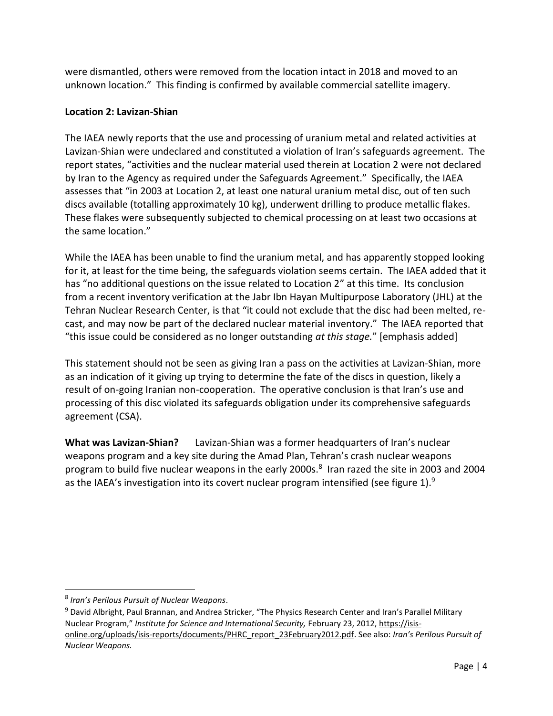were dismantled, others were removed from the location intact in 2018 and moved to an unknown location." This finding is confirmed by available commercial satellite imagery.

#### **Location 2: Lavizan-Shian**

The IAEA newly reports that the use and processing of uranium metal and related activities at Lavizan-Shian were undeclared and constituted a violation of Iran's safeguards agreement. The report states, "activities and the nuclear material used therein at Location 2 were not declared by Iran to the Agency as required under the Safeguards Agreement." Specifically, the IAEA assesses that "in 2003 at Location 2, at least one natural uranium metal disc, out of ten such discs available (totalling approximately 10 kg), underwent drilling to produce metallic flakes. These flakes were subsequently subjected to chemical processing on at least two occasions at the same location."

While the IAEA has been unable to find the uranium metal, and has apparently stopped looking for it, at least for the time being, the safeguards violation seems certain. The IAEA added that it has "no additional questions on the issue related to Location 2" at this time. Its conclusion from a recent inventory verification at the Jabr Ibn Hayan Multipurpose Laboratory (JHL) at the Tehran Nuclear Research Center, is that "it could not exclude that the disc had been melted, recast, and may now be part of the declared nuclear material inventory." The IAEA reported that "this issue could be considered as no longer outstanding *at this stage.*" [emphasis added]

This statement should not be seen as giving Iran a pass on the activities at Lavizan-Shian, more as an indication of it giving up trying to determine the fate of the discs in question, likely a result of on-going Iranian non-cooperation. The operative conclusion is that Iran's use and processing of this disc violated its safeguards obligation under its comprehensive safeguards agreement (CSA).

**What was Lavizan-Shian?** Lavizan-Shian was a former headquarters of Iran's nuclear weapons program and a key site during the Amad Plan, Tehran's crash nuclear weapons program to build five nuclear weapons in the early 2000s.<sup>8</sup> Iran razed the site in 2003 and 2004 as the IAEA's investigation into its covert nuclear program intensified (see figure 1).<sup>9</sup>

<sup>8</sup> *Iran's Perilous Pursuit of Nuclear Weapons*.

<sup>&</sup>lt;sup>9</sup> David Albright, Paul Brannan, and Andrea Stricker, "The Physics Research Center and Iran's Parallel Military Nuclear Program," *Institute for Science and International Security,* February 23, 2012, [https://isis](https://isis-online.org/uploads/isis-reports/documents/PHRC_report_23February2012.pdf)[online.org/uploads/isis-reports/documents/PHRC\\_report\\_23February2012.pdf.](https://isis-online.org/uploads/isis-reports/documents/PHRC_report_23February2012.pdf) See also: *Iran's Perilous Pursuit of Nuclear Weapons.*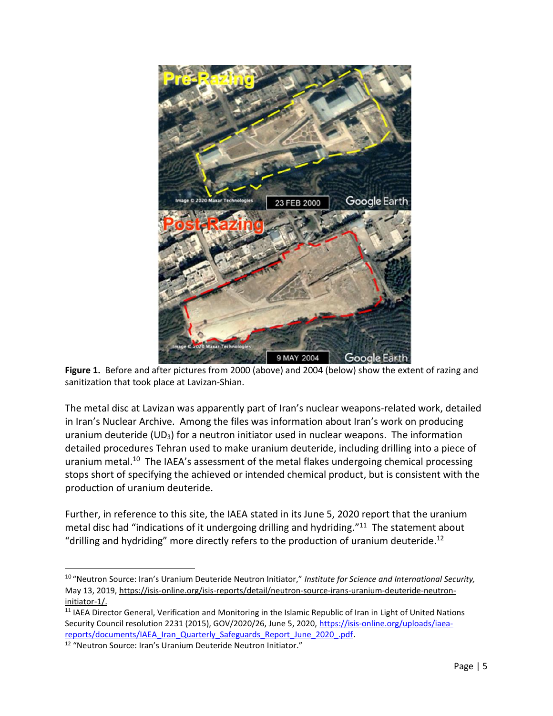

**Figure 1.** Before and after pictures from 2000 (above) and 2004 (below) show the extent of razing and sanitization that took place at Lavizan-Shian.

The metal disc at Lavizan was apparently part of Iran's nuclear weapons-related work, detailed in Iran's Nuclear Archive. Among the files was information about Iran's work on producing uranium deuteride  $(UD_3)$  for a neutron initiator used in nuclear weapons. The information detailed procedures Tehran used to make uranium deuteride, including drilling into a piece of uranium metal.<sup>10</sup> The IAEA's assessment of the metal flakes undergoing chemical processing stops short of specifying the achieved or intended chemical product, but is consistent with the production of uranium deuteride.

Further, in reference to this site, the IAEA stated in its June 5, 2020 report that the uranium metal disc had "indications of it undergoing drilling and hydriding."<sup>11</sup> The statement about "drilling and hydriding" more directly refers to the production of uranium deuteride.<sup>12</sup>

<sup>10</sup> "Neutron Source: Iran's Uranium Deuteride Neutron Initiator," *Institute for Science and International Security,*  May 13, 2019, [https://isis-online.org/isis-reports/detail/neutron-source-irans-uranium-deuteride-neutron](https://isis-online.org/isis-reports/detail/neutron-source-irans-uranium-deuteride-neutron-initiator-1/)[initiator-1/.](https://isis-online.org/isis-reports/detail/neutron-source-irans-uranium-deuteride-neutron-initiator-1/) 

<sup>&</sup>lt;sup>11</sup> IAEA Director General, Verification and Monitoring in the Islamic Republic of Iran in Light of United Nations Security Council resolution 2231 (2015), GOV/2020/26, June 5, 2020[, https://isis-online.org/uploads/iaea](https://isis-online.org/uploads/iaea-reports/documents/IAEA_Iran_Quarterly_Safeguards_Report_June_2020_.pdf)reports/documents/IAEA\_Iran\_Quarterly\_Safeguards\_Report\_June\_2020\_.pdf.

<sup>&</sup>lt;sup>12</sup> "Neutron Source: Iran's Uranium Deuteride Neutron Initiator."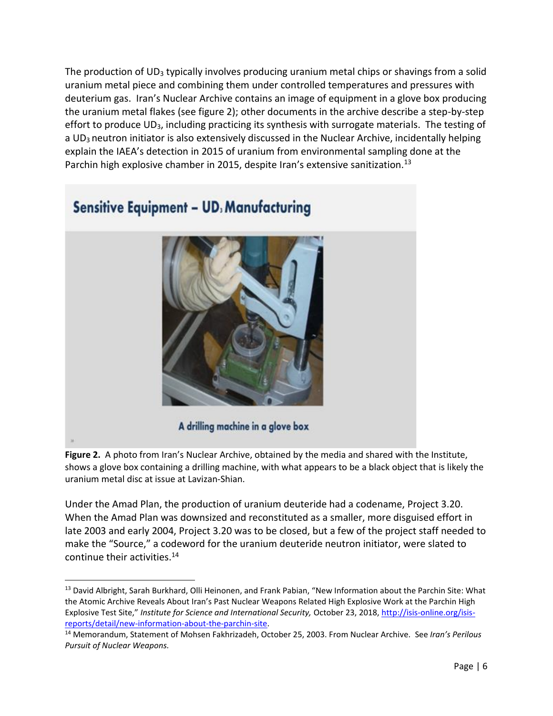The production of  $UD_3$  typically involves producing uranium metal chips or shavings from a solid uranium metal piece and combining them under controlled temperatures and pressures with deuterium gas. Iran's Nuclear Archive contains an image of equipment in a glove box producing the uranium metal flakes (see figure 2); other documents in the archive describe a step-by-step effort to produce UD<sub>3</sub>, including practicing its synthesis with surrogate materials. The testing of a UD3 neutron initiator is also extensively discussed in the Nuclear Archive, incidentally helping explain the IAEA's detection in 2015 of uranium from environmental sampling done at the Parchin high explosive chamber in 2015, despite Iran's extensive sanitization.<sup>13</sup>



**Figure 2.** A photo from Iran's Nuclear Archive, obtained by the media and shared with the Institute, shows a glove box containing a drilling machine, with what appears to be a black object that is likely the uranium metal disc at issue at Lavizan-Shian.

Under the Amad Plan, the production of uranium deuteride had a codename, Project 3.20. When the Amad Plan was downsized and reconstituted as a smaller, more disguised effort in late 2003 and early 2004, Project 3.20 was to be closed, but a few of the project staff needed to make the "Source," a codeword for the uranium deuteride neutron initiator, were slated to continue their activities.<sup>14</sup>

<sup>&</sup>lt;sup>13</sup> David Albright, Sarah Burkhard, Olli Heinonen, and Frank Pabian, "New Information about the Parchin Site: What the Atomic Archive Reveals About Iran's Past Nuclear Weapons Related High Explosive Work at the Parchin High Explosive Test Site," *Institute for Science and International Security,* October 23, 2018[, http://isis-online.org/isis](http://isis-online.org/isis-reports/detail/new-information-about-the-parchin-site)[reports/detail/new-information-about-the-parchin-site.](http://isis-online.org/isis-reports/detail/new-information-about-the-parchin-site)

<sup>14</sup> Memorandum, Statement of Mohsen Fakhrizadeh, October 25, 2003. From Nuclear Archive. See *Iran's Perilous Pursuit of Nuclear Weapons.*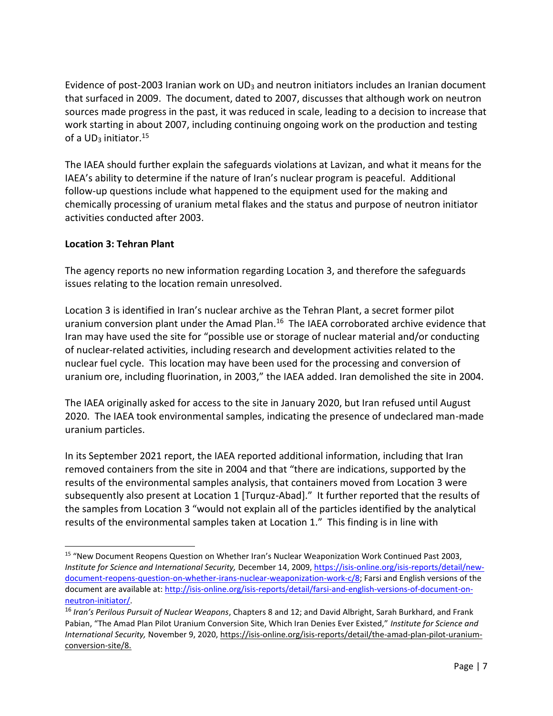Evidence of post-2003 Iranian work on  $UD_3$  and neutron initiators includes an Iranian document that surfaced in 2009. The document, dated to 2007, discusses that although work on neutron sources made progress in the past, it was reduced in scale, leading to a decision to increase that work starting in about 2007, including continuing ongoing work on the production and testing of a  $UD_3$  initiator.<sup>15</sup>

The IAEA should further explain the safeguards violations at Lavizan, and what it means for the IAEA's ability to determine if the nature of Iran's nuclear program is peaceful. Additional follow-up questions include what happened to the equipment used for the making and chemically processing of uranium metal flakes and the status and purpose of neutron initiator activities conducted after 2003.

### **Location 3: Tehran Plant**

The agency reports no new information regarding Location 3, and therefore the safeguards issues relating to the location remain unresolved.

Location 3 is identified in Iran's nuclear archive as the Tehran Plant, a secret former pilot uranium conversion plant under the Amad Plan.<sup>16</sup> The IAEA corroborated archive evidence that Iran may have used the site for "possible use or storage of nuclear material and/or conducting of nuclear-related activities, including research and development activities related to the nuclear fuel cycle. This location may have been used for the processing and conversion of uranium ore, including fluorination, in 2003," the IAEA added. Iran demolished the site in 2004.

The IAEA originally asked for access to the site in January 2020, but Iran refused until August 2020. The IAEA took environmental samples, indicating the presence of undeclared man-made uranium particles.

In its September 2021 report, the IAEA reported additional information, including that Iran removed containers from the site in 2004 and that "there are indications, supported by the results of the environmental samples analysis, that containers moved from Location 3 were subsequently also present at Location 1 [Turquz-Abad]." It further reported that the results of the samples from Location 3 "would not explain all of the particles identified by the analytical results of the environmental samples taken at Location 1." This finding is in line with

<sup>&</sup>lt;sup>15</sup> "New Document Reopens Question on Whether Iran's Nuclear Weaponization Work Continued Past 2003, *Institute for Science and International Security,* December 14, 2009, [https://isis-online.org/isis-reports/detail/new](https://isis-online.org/isis-reports/detail/new-document-reopens-question-on-whether-irans-nuclear-weaponization-work-c/8)[document-reopens-question-on-whether-irans-nuclear-weaponization-work-c/8;](https://isis-online.org/isis-reports/detail/new-document-reopens-question-on-whether-irans-nuclear-weaponization-work-c/8) Farsi and English versions of the document are available at[: http://isis-online.org/isis-reports/detail/farsi-and-english-versions-of-document-on](http://isis-online.org/isis-reports/detail/farsi-and-english-versions-of-document-on-neutron-initiator/)[neutron-initiator/.](http://isis-online.org/isis-reports/detail/farsi-and-english-versions-of-document-on-neutron-initiator/)

<sup>16</sup> *Iran's Perilous Pursuit of Nuclear Weapons*, Chapters 8 and 12; and David Albright, Sarah Burkhard, and Frank Pabian, "The Amad Plan Pilot Uranium Conversion Site, Which Iran Denies Ever Existed," *Institute for Science and International Security,* November 9, 2020, [https://isis-online.org/isis-reports/detail/the-amad-plan-pilot-uranium](https://isis-online.org/isis-reports/detail/the-amad-plan-pilot-uranium-conversion-site/8)[conversion-site/8.](https://isis-online.org/isis-reports/detail/the-amad-plan-pilot-uranium-conversion-site/8)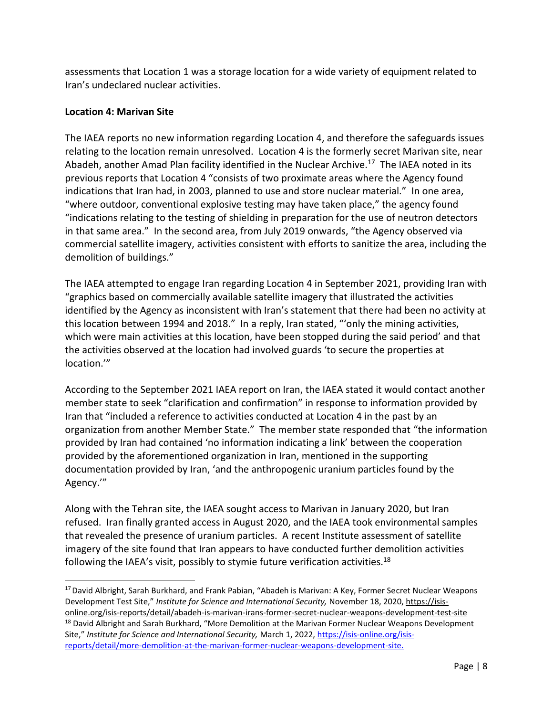assessments that Location 1 was a storage location for a wide variety of equipment related to Iran's undeclared nuclear activities.

#### **Location 4: Marivan Site**

The IAEA reports no new information regarding Location 4, and therefore the safeguards issues relating to the location remain unresolved. Location 4 is the formerly secret Marivan site, near Abadeh, another Amad Plan facility identified in the Nuclear Archive.<sup>17</sup> The IAEA noted in its previous reports that Location 4 "consists of two proximate areas where the Agency found indications that Iran had, in 2003, planned to use and store nuclear material." In one area, "where outdoor, conventional explosive testing may have taken place," the agency found "indications relating to the testing of shielding in preparation for the use of neutron detectors in that same area." In the second area, from July 2019 onwards, "the Agency observed via commercial satellite imagery, activities consistent with efforts to sanitize the area, including the demolition of buildings."

The IAEA attempted to engage Iran regarding Location 4 in September 2021, providing Iran with "graphics based on commercially available satellite imagery that illustrated the activities identified by the Agency as inconsistent with Iran's statement that there had been no activity at this location between 1994 and 2018." In a reply, Iran stated, "'only the mining activities, which were main activities at this location, have been stopped during the said period' and that the activities observed at the location had involved guards 'to secure the properties at location.'"

According to the September 2021 IAEA report on Iran, the IAEA stated it would contact another member state to seek "clarification and confirmation" in response to information provided by Iran that "included a reference to activities conducted at Location 4 in the past by an organization from another Member State." The member state responded that "the information provided by Iran had contained 'no information indicating a link' between the cooperation provided by the aforementioned organization in Iran, mentioned in the supporting documentation provided by Iran, 'and the anthropogenic uranium particles found by the Agency.'"

Along with the Tehran site, the IAEA sought access to Marivan in January 2020, but Iran refused. Iran finally granted access in August 2020, and the IAEA took environmental samples that revealed the presence of uranium particles. A recent Institute assessment of satellite imagery of the site found that Iran appears to have conducted further demolition activities following the IAEA's visit, possibly to stymie future verification activities.<sup>18</sup>

<sup>&</sup>lt;sup>17</sup> David Albright, Sarah Burkhard, and Frank Pabian, "Abadeh is Marivan: A Key, Former Secret Nuclear Weapons Development Test Site," *Institute for Science and International Security,* November 18, 2020[, https://isis-](https://isis-online.org/isis-reports/detail/abadeh-is-marivan-irans-former-secret-nuclear-weapons-development-test-site)

[online.org/isis-reports/detail/abadeh-is-marivan-irans-former-secret-nuclear-weapons-development-test-site](https://isis-online.org/isis-reports/detail/abadeh-is-marivan-irans-former-secret-nuclear-weapons-development-test-site) <sup>18</sup> David Albright and Sarah Burkhard, "More Demolition at the Marivan Former Nuclear Weapons Development Site," *Institute for Science and International Security,* March 1, 2022[, https://isis-online.org/isis](https://isis-online.org/isis-reports/detail/more-demolition-at-the-marivan-former-nuclear-weapons-development-site)[reports/detail/more-demolition-at-the-marivan-former-nuclear-weapons-development-site.](https://isis-online.org/isis-reports/detail/more-demolition-at-the-marivan-former-nuclear-weapons-development-site)